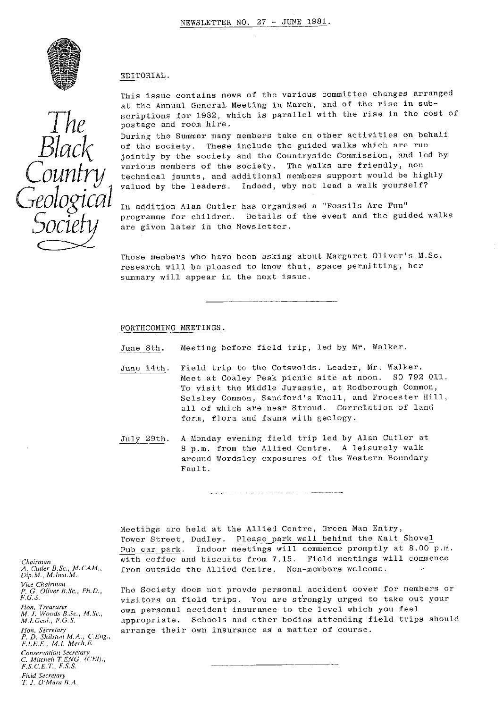

#### EDITORIAL .

This issue contains news of the various committee changes arranged at the Annual General Meeting in March, and of the rise in subscriptions for 1982, which is parallel with the rise in the cost of postage and room hire.

During the Summer many members take on other activities on behalf of the society. These include the guided walks which are run jointly by the society and the Countryside Commission, and led by various members of the society. The walks are friendly, non technical jaunts, and additional members support would be highly valued by the leaders, Indeed, why not lead a walk yourself?

In addition Alan Cutler has organised a "Fossils Are Fun" programme for children, Details of the event and the guided walks are given later in the Newsletter.

Those members who have been asking about Margaret Oliver's M.Sc. research will be pleased to know that, space permitting, her summary will appear in the next issue,

FORTHCOMING MEETINGS.

June 8th. Meeting before field trip, led by Mr. Walker.

- June 14th. Field trip to the Cotswolds, Leader, Mr. Walker. Meet at Coaley Peak picnic site at noon. SO 792 011, To visit the Middle Jurassic, at Rodborough Common, Selsley Common, Sandford's Knoll, and Frocester Hill, all of which are near Stroud. Correlation of land form, flora and fauna with geology.
- July 29th. A Monday evening field trip led by Alan Cutler at 8 p.m. from the Allied Centre. A leisurely walk around Wordsley exposures of the Western Boundary Fault.

Meetings are held at the Allied Centre, Green Man Entry, Tower Street, Dudley. Please park well behind the Malt Shovel Pub car park. Indoor meetings will commence promptly at 8.00 p.m. with coffee and biscuits from 7.15, Field meetings will commence from outside the Allied Centre. Non-members welcome,

The Society does not provde personal accident cover for members or visitors on field trips. You are strongly urged to take out your own personal accident insurance to the level which you feel appropriate. Schools and other bodies attending field trips should arrange their own insurance as a matter of course.

*Chairman A. Cutler B.Sc., M. CAM., L3ip.1b1., M.I»st.M. Vice Cfiairman P. C. Oliver B.Sc,, Ph.D., F.G.S.* lion, *Treasurer M. I. Woods B.Sc., M.Sc., M.!.Geol., F. G. S.* Hon, Secretary *P. D. Shifstort M.A., C.Eng., FLEE., M.1. Mech. E. Conservation Secretary C. Mitchell T.ENG. (CEI).*, *F.S.C.E,T., F.S.S.*

*Field Secretary 1. J. O'Mara ILA.*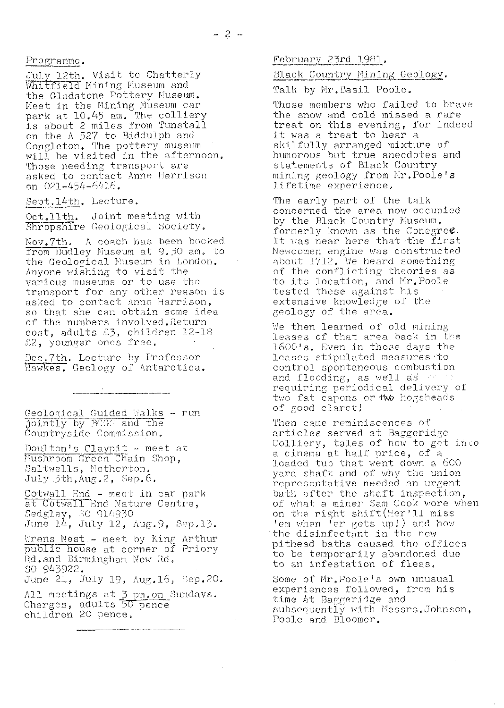Programme.

July 12th, Visit to Chatterly Whitfield Mining Museum and the **Gladstone** Pottery Museum. Meet in the Mining Museum car park at 10.45 am. The colliery is about 2 miles from Tunstall on the A 527 to Hidduiph and Congleton. The pottery museum bong room. The process manuscripture Those needing transport are asked to contact Anne Harrison on 021-454-6416.

Sept. 14th. Lecture.

Oct.11th. Joint meeting with Shropshire **Geological** Society.

Nov®7th. **A** coach has been hooked. from Dudley Museum at 9.30 am. to Trom Dualey Huseum at 9.50 am. Anyone wishing to visit the various museums or to use the • transport for any other reason is asked to contact Anne Harrison, so that she can obtain some idea of the numbers involved. Return cost, adults £3, children 12-18 **£12,** younger **ones** free.

Dec.7th. Lecture by Professor Hawkes. Geology of Antarctica.

.<br>Alan kara da babba dan mendebetakan adalah peliti dengan berada pada 1933 - 1939 - 1939 - 1939 - 1939 - 1939 -

Geological Guided Walks - run jointly by P00: **and** the Countryside Commission.

Doulton's Claypit - meet at Mushroom Green Chain Shop, Saltwelis, Netherton, July 5th, Aug. 2, Sep. 6.

Cotwall End - meet in car park at Cotwall End. Mature Centre, Sedgley, SO 914930 June **<sup>1</sup>**. **4,** July **<sup>1</sup>** 2, Aug. Se, 13.

Wrens Nest .- meet by King Arthur Public house at corner of Priory Rd. and Birmingham New Rd. So 943922.

June 21, July 19, Aug. 16, Sep. 20.

All meetings at 3 pm.on Sundays nir noceings at <u>5 parton</u><br>Charges, adults 50 pence children 20 **pence.**

.<br>In the company of the Hall Prince of the Self-Line of the Prince of the Company of the Self-Line Books

 $F$ ebruary 23rd 1981.

# Black Country Mining Geology.

Talk by Mr. Basil Poole.

Those members who failed to brave the snow and cold **missed** a **rare** treat on this evening, for indeed it was a treat to hear a skilfully arranged mixture of humorous but true anecdotes and statements of Black Country mining geology from Mr. Poole's lifetime experience.

The early part of the talk concerned the area now occupied by the Black Country Museum, formerly known as the Concgree It was near here that the first Newcomen engine was constructed. about 1712. We heard something of the conflicting theories as to its location, and Mr. Poole tested these against his extensive knowledge of the geology of the area.

We then learned of old mining leases of that area back in the *1600* a. Even in those days the leases stipulated measures to control spontaneous combustion and flooding, as well as requiring periodical delivery of two fat capons or *two* hogsheads of good claret!

Then came reminiscences of articles served at Baggeridge Colliery, tales of how to get inco conflictly, cares of now to go loaded tub that went down a 600 yard shaft and of why the union representative needed an urgent bath after the shaft inspection, of what a miner Sam Cook wore when on the night shift(Her'll miss ' CCL when ' er **gets** up ;) and how the **disinfectant** in the new pithead baths caused the offices to be temporarily abandoned due to an infestation of fleas.

Some of Mr, Poole's own unusual experiences **followed,** from his time at Baggeridge and subsequently with Messrs. Johnson, Poole and Bloomer.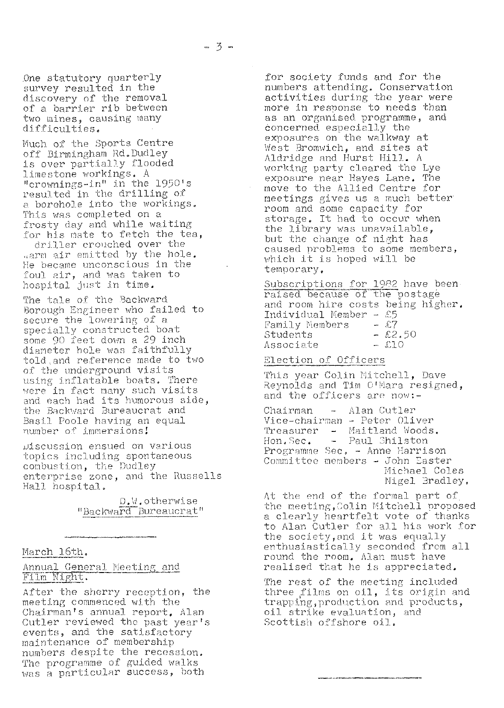One statutory quarterly survey resulted in the **discovery** of the removal of a barrier rib between two mines, causing many difficulties.

Much of the Sports Centre off Birmingham Rd. Dudley is over partially flooded limestone workings. A rimes conce workings....<br>"crownings-in" in the 1950's resulted in the drilling of a borehole into the workings, This was completed on a frosty day and while waiting for his mate to fetch the tea,

driller crouched over the arm air emitted by the hole. He became unconscious in the foul air, and was taken to hospital just in time.

The tale of the Backward Borough Engineer who failed to secure the lowering of a specially constructed boat some 90 feet down a 29 inch diameter hole was faithfully told.: and reference made to two of the underground visits using inflatable boats. There were in fact many such visits and each had its humorous side, the Backward Bureaucrat and Basil Poole having an equal number of immersions

Discussion ensued on various topics including spontaneous combustion, the Dudley enterprise zone, and the Russells Hall hospital.

> D.W.otherwise "Backward Bureaucrat"

# March 16th.

Annual General Meeting and Film Night.

After the sherry reception, the meeting commenced with the Chairman's annual report. Alan Cutler reviewed the past year's events, and the satisfactory maintenance of membership numbers despite the recession. The programme of guided walks was a particular success, both

for society funds and for the numbers attending. Conservation activities during the year were more in response to needs than as an organised. programme, and concerned. especially the exposures on the walkway at West Bromwich, and sites at Aldridge and Hurst Hill. A working party cleared the Lye exposure near Hayes Lane. The move to the Allied Centre for meetings gives us a much better room and some capacity for storage. It had to occur when the library was unavailable, but the change of night has caused problems to some members, which it is hoped will be temporary.

Subscriptions for 1982 have been raised because of the postage and room hire costs being higher. Individual Member - £5 Family Nembers -  $\mathcal{E}7$ <br>Students -  $\mathcal{E}2.50$ Students  $-2.50$ Associate  $-$  £10

## Election of Officers

This year Colin Mitchell, Dave Reynolds and Tim O'Mara resigned, and the officers are now:-

Chairman - Alan Cutler Vice-chairman - Peter Oliver vice endinment freer circle. Hon. Sec. - Paul Shilston Programme Sec. - Anne Harrison Committee members - John Easter Michael Coles Nigel Bradley.

**At** the **end** of the formal part of the meeting, Colin Mitchell proposed a clearly heartfelt vote of thanks to Alan Cutler for all his work **for** the socicty,ond it was equally enthusiastically seconded from all round the room. Alan must have realised that he is appreciated.

The rest of the meeting included three films on **oil, Its** origin and trapping, production and products, oil strike evaluation, and Scottish offshore oil..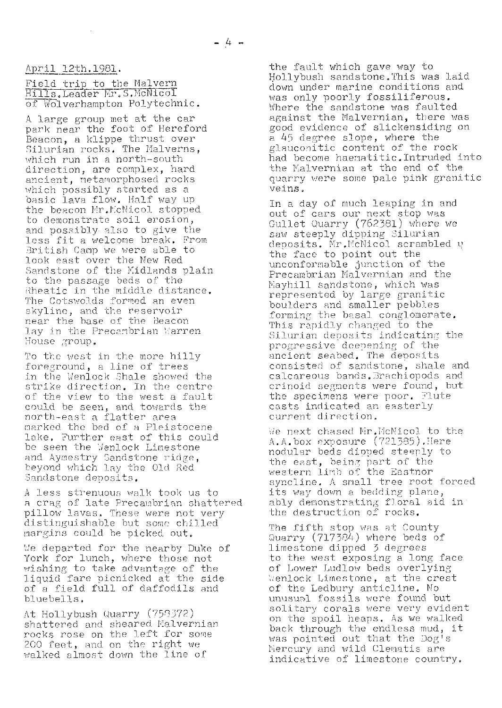April 12th.1981.

Field trip to the Malvern Hills, Leader Mr. S. McNicol of Wolverhampton Polytechnic

A large group met at the car park near the foot of Hereford Beacon, a klippe thrust over Silurian rocks. The Malverns. which run in a north-south direction, are complex, hard ancient, metamorphosed rocks which possibly started as a basic lava flow. Half way up the beacon Mr.McNicol stopped to demonstrate soil erosion, and possibly. also to give the less fit a welcome break. From British Camp we were able to look east over the New Red Sandstone of the Midlands plain to the passage beds of the Rheatic in the middle distance. The Cotswolds formed an even skyline, and the reservoir near the base of the Beacon lay in the Precambrian Warren 'louse group.

To the west in the more hilly foreground, a line of trees in the Wenlock Shale showed the strike direction. In the centre of the view to the west a fault could be seen, and towards the north-east a flatter area marked the bed of a Pleistocene lake, further east of this could be seen the 'Jenlock Limestone and Aymestry Sandstone ridge beyond *which la <sup>y</sup> the Old Red* Sandstone deposits.

A less strenuous walk took us to a crag of late Precambrian shattered pillow laves, These were not very distinguishable but some chilled margins could be picked out.

We departed for the nearby Duke of York for lunch, where those not wishing to take advantage of the liquid fare picnicked at the side of a field full of daffodils and blue bells.

At Hollybush Quarry (758372) shattered and sheared Malvernian rocks rose on the left for some 200 feet, and on the right we walked almost down the line of

the fault which gave way to Hollybush sandstone. This was laid down under marine conditions and was only poorly fossiliferous. Where the sandstone was faulted against the Malvernian, there was good evidence of slickensiding on a 45 degree slope, where the glauconitic content of the rock had become haematitic. Intruded into the Kalvernian at the end of the quarry were some pale pink granitic veins .

In a day of much leaping in and out of cars our next stop was Gullet Quarry (762381) where we saw steeply dipping Silurian deposits. Mr.McNicol scrambled u the face to point out the unconformable junction of the Precambrian Malvernian and the Mayhill sandstone, which was represented by large granitic boulders and smaller pebbles forming the basal conglomerate. This rapidly changed to the Silurian deposits indicating the progressive deepening of the ancient seabed. The deposits consisted of sandstone, shale and calcareous bands. Brachiopods and crinoid segments were found, but the specimens were poor. Flute casts indicated an easterly current direction.

We next chased Mr.HcNicol to the A.A.box exposure (721385).Here nodular beds dioped steeply to the east, being part of the western limb of the Easthor syncline, A small tree root forced syncline. A small tree root **i**<br>its way down a bedding plane, ably demonstrating floral aid in the destruction of rocks.

The fifth stop was at County Quarry (717384) where beds of limestone dipped 3 degrees to the west exposing a long face of Lower Ludlow beds overlying Wenlock Limestone, at the crest of the Ledbury anticline. Ho unusual fossils were found but solitary corals were very evident on the spoil heaps. As we walked back through the endless mud, it was pointed out that the Dog's Mercury and wild Clematis are indicative of limestone country.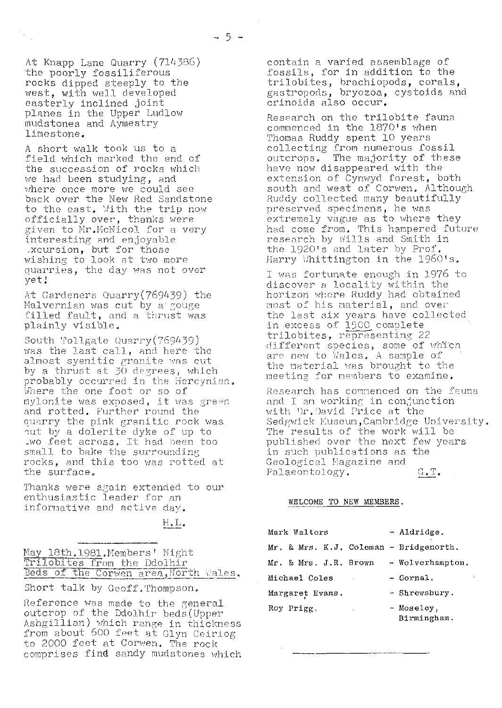At Knapp Lane Quarry (714386) the poorly fossiliferous rocks dipped steeply to the west, with well developed easterly inclined joint planes in the Upper Ludlow mudstones and Aymestry limestone.

A short walk took us to a field which marked the end of the succession of rocks which we had been studying, and where once more we could see back over the New Red Sandstone back over the New New Sandston officially over, thanks were given to Mr.McNicol for a very interesting end enjoyable xcursion, but for those wishing to look at two more quarries, the day was not over yet;

At Gardeners Quarry(769439) the Malvernian was cut by a gouge filled fault, and a thrust was plainly visible,

South Tollgate Quarry $(769439)$ was the last call, and here the was the last call, and here the by a thrust at 30 degrees, which probably occurred in the Hercynian. 4 ,)"Ci ere the one foot or so of mylonite was exposed, it was  $\mathbb S^n$ eer and rotted. Further round the quarry the pink granitic rock was ^ut by a dolerite dyke of up to \_wo feet across, It had been too small to bake the surrounding, rocks, and this too was rotted at the surface.

Thanks were again extended to our enthusiastic leader for an informative and active day,

H. L,

| May 18th.1981.Members' Night          |  |
|---------------------------------------|--|
| Trilobites from the Ddolhir           |  |
| Beds of the Corwen area, North Wales. |  |

Short talk by Geoff.Thompson.

Reference was made to the general outcrop of the Ddolhir beds (Upper Ashgillian) which range in thickness from about 600 feet at Glyn Ceiriog to 2000 feet at Corwen. The rock comprises find sandy mudstones which contain a varied assemblage of fossils, for in addition to the trilobites, brachiopods, corals,<br>gastropods, bryozoa, cystoids and crinoids also occur,

Research on the trilobite fauna commenced in the 1870's when Thomas Ruddy spent 10 years collecting from numerous fossil outcrops. The majority of these have now disappeared with the extension of Cynwyd forest, both south and west of Corwen. Although *Ruddy* collected many beautifully preserved specimens, he was extremely vague as to where they had come from,. This hampered future research by Wills and Smith in the 1920's and later by Prof. Harry Whittington in the 1960's.

I was fortunate enough in 1976 to discover a locality within the horizon whore Ruddy had obtained most of his material, and over the last six years have collected in excess of 1500 complete trilobites, representing 22 different species, some of which are new to Wales. A sample of the material was brought to the meeting for members to examine.

Research has commenced on the fauna and I an working in conjunction with Dr.David Price at the Sedgwick Museum, Cambridge University. The results of the work will be published over the next few years in such publications as the Geological Magazine and Palaeontology. G.T.

#### WELCOME TO **NEW** MEMBERS.

| Mark Walters                           | - Aldridge.      |
|----------------------------------------|------------------|
| Mr. & Mrs. K.J. Coleman - Bridgenorth. |                  |
| Mr. & Mrs. J.R. Brown                  | - Wolverhampton. |
| Michael Coles<br>×.                    | - Gornal.        |
| Margaret Evans.                        | - Shrewsbury.    |
| Roy Prigg.<br>k,                       | - Moseley,       |

Birmingham.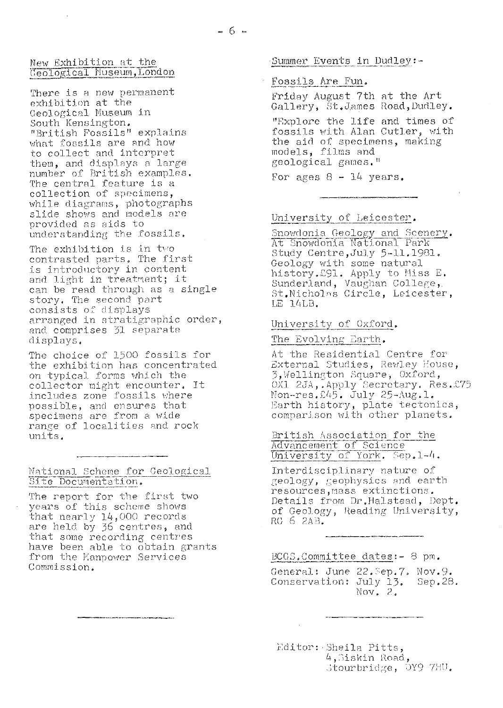#### New Exhibition at the Geological Museum, London

There is a new permanent exhibition at the Geological Museum in South Kensington. "British Fossils" explains what fossils are and how to collect and interpret them, and displays a large number of British examples. The central feature is a collection of specimens, while diagrams, photographs slide shows and models are provided as aids to understanding the fossils.

The exhibition is in two contrasted parts. The first is introductory in content and light in treatment; it can be read through as a single story. The second part consists of displays arranged in stratigraphic order, and comprises 31 separate displays.

The choice of 1500 fossils for the exhibition has concentrated on typical forms which the collector might encounter. It includes zone fossils where possible, and ensures that specimens are from a wide range of localities and rock units.

## National Scheme for Geological Site Documentation.

The report for the first two years of this scheme shows that nearly 14,000 records are held by 36 centres, and that some recording centres have been able to obtain grants from the Manpower Services Commission.

#### Summer Events in Dudley:-

#### Fossils Are Fun.

Friday August 7th at the Art Gallery, St.James Road, Dudley. "Explore the life and times of fossils with Alan Cutler, with the aid of specimens, making models, films and geological games."

For ages  $8 - 14$  years.

## University of Leicester.

Snowdonia Geology and Scenery. At Snowdonia National Park Study Centre, July 5-11.1981. Geology with some natural history. 291. Apply to Miss E.<br>Sunderland, Vaughan College, St. Nicholas Circle, Leicester, LE 14LB.

#### University of Oxford.

# The Evolving Earth.

At the Residential Centre for External Studies, Rewley House, 3, Wellington Square, Oxford, OX1 2JA, Apply Secretary. Res. £75 Non-res. 245. July 25-Aug. 1. Earth history, plate tectonics, comparison with other planets.

#### British Association for the Advancement of Science University of York. Sep.1-4.

Interdisciplinary nature of geology, geophysics and earth resources, mass extinctions. Details from Dr. Halstead, Dept. of Geology, Reading University, RG 6 2AB.

## BCGS.Committee dates: - 8 pm.

General: June 22. Sep. 7. Nov. 9. Conservation: July 13. Sep.28. Nov.  $2.$ 

Editor: Sheila Pitts, 4, Siskin Road, Stourbridge, DY9 7HU.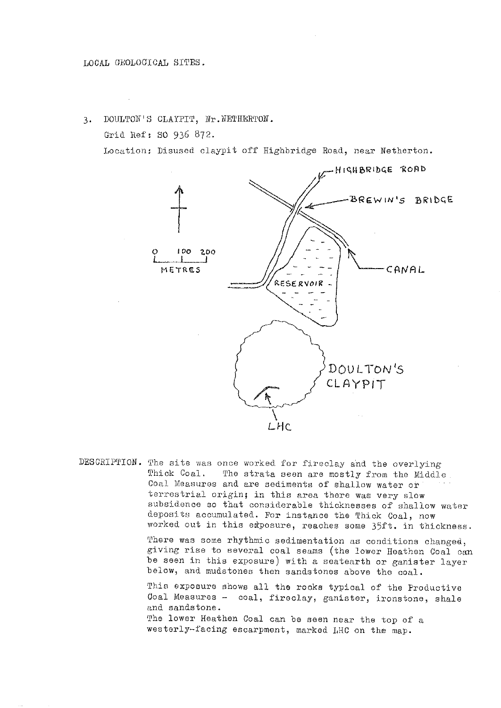3. DOULTON'S CLAYPIT, Nr. NETHERTON.

Grid Ref: SO 936 872.

Location; Disused claypit off Highbridge Road, near Netherton.



DESCRIPTION. The site was once worked for fireclay and the overlying<br>Thick Coal. The strata seen are mostly from the Middle The strata seen are mostly from the Middle. Coal Measures and are sediments of shallow water or terrestrial origin; in this area there was very slow subsidence so that considerable thicknesses of shallow water deposits accumulated. For instance the Thick Coal, now worked out in this etposure, reaches some 35ft. in thickness.

> There was some rhythmic sedimentation as conditions changed, giving rise to several coal seams (the lower Heathen Coal can be seen in this exposure) with a seatearth or ganister layer below, and mudstones then sandstones above the coal.

This exposure shows all the rooks typical of the Productive Coal Measures — coal, fireclay, ganister, ironstone, shale and sandstone.

The lower Heathen Coal can be seen near the top of a westerly—facing escarpment, marked LHC on the map.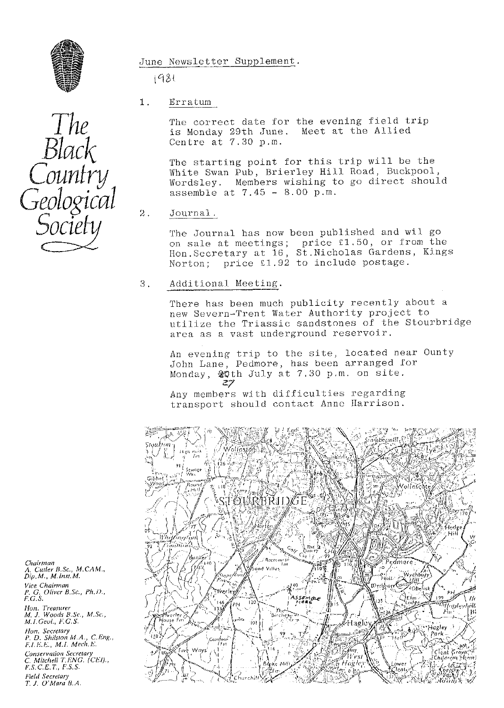

 $1981$ 

1. Erratum

The correct date for the evening field trip<br>is Monday 29th June. Meet at the Allied is Monday 29th June. Centre at 7.30 p.m.

The starting point for this trip will be the White Swan Pub, Brierley Hill Road, Buckpool, Wordsley. Members wishing to go direct should assemble at  $7.45 - 8.00$  p.m.

2. Journal.

The Journal has now been published and wil go on sale at meetings; price £1,50, or from the Hon.Secretary at 16, St.Nicholas Gardens, Kings Norton; price £1.92 to include postage.

3. Additional Meeting.

There has been much publicity recently about a new Severn--Trent Water Authority project to utilize the Triassic sandstones of the Stourbridge area as a vast underground reservoir.

An evening trip to the site, located near Ounty John Lane, Pedmore, has been arranged for Monday,  $\frac{20 \text{th}}{27}$  July at 7.30 p.m. on site.

Any members with difficulties regarding transport should contact Anne Harrison.



*Chairman* A. Cutler B.Sc., M.CAM., *Dip. M., M. inst. M. Vice. Chairman P. G. Oliver B.Sc., Ph. 1)., F. G.S.*

*Hon. Treasurer M. J. Woods B..c., M.Sc., M. 1. GeuL, 1". G. S. lion. Secretary*

*P. D. Shilsion M.A., C.Eng., F. I.F,'.h"., M.I. Mech,E. Conservation Secretary C. Mitchell T.ENG. (CFI)., F.S.C.E.T., F.S.S. Field Secretary T. J. O'Mara B.A.*

The<br>Black<br>Country<br>Geologico<br>Society